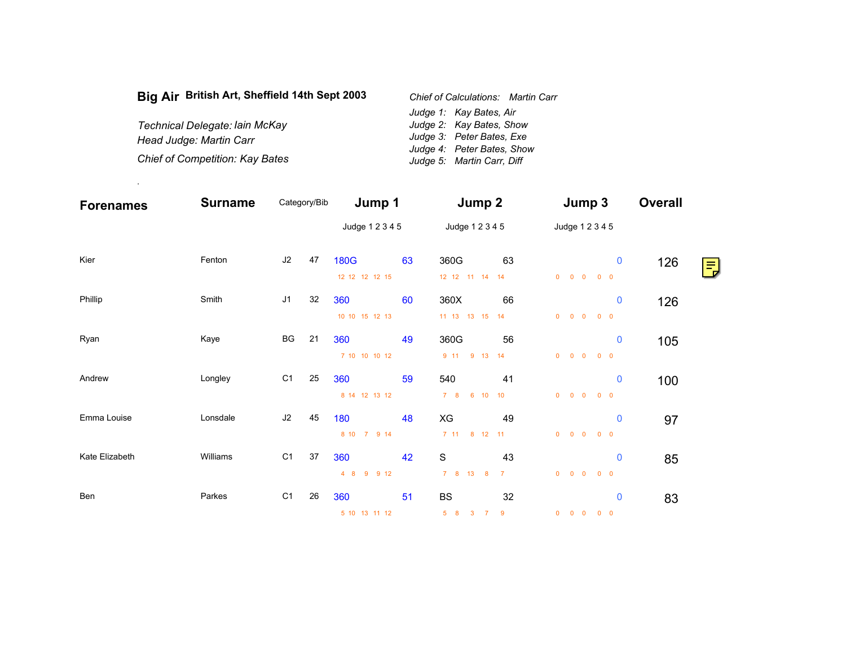| Big Air British Art, Sheffield 14th Sept 2003 | <b>Chief of Calculations: Martin Carr</b> |
|-----------------------------------------------|-------------------------------------------|
|                                               | Judge 1: Kay Bates, Air                   |
| Technical Delegate: Iain McKay                | Judge 2: Kay Bates, Show                  |
| Head Judge: Martin Carr                       | Judge 3: Peter Bates, Exe                 |
|                                               | Judge 4: Peter Bates, Show                |
| Chief of Competition: Kay Bates               | Judge 5: Martin Carr, Diff                |

.

| <b>Forenames</b> | <b>Surname</b> |                | Category/Bib | Jump 1          |    | Jump 2             |                |              | Jump 3                                                 |            |             | <b>Overall</b>         |
|------------------|----------------|----------------|--------------|-----------------|----|--------------------|----------------|--------------|--------------------------------------------------------|------------|-------------|------------------------|
|                  |                |                |              | Judge 1 2 3 4 5 |    | Judge 1 2 3 4 5    |                |              | Judge 1 2 3 4 5                                        |            |             |                        |
| Kier             | Fenton         | J2             | 47           | <b>180G</b>     | 63 | 360G               | 63             |              |                                                        |            | 0           | $126$ $\frac{111}{11}$ |
|                  |                |                |              | 12 12 12 12 15  |    | 12  12  11  14  14 |                | $\mathbf{0}$ | $\begin{array}{ccccccccc}\n0 & 0 & 0 & 0\n\end{array}$ |            |             |                        |
| Phillip          | Smith          | J1             | 32           | 360             | 60 | 360X               | 66             |              |                                                        |            | $\mathbf 0$ | 126                    |
|                  |                |                |              | 10 10 15 12 13  |    | 11 13 13 15 14     |                | $\mathbf{0}$ | $0\quad 0$                                             | $0\quad 0$ |             |                        |
| Ryan             | Kaye           | BG             | 21           | 360             | 49 | 360G               | 56             |              |                                                        |            | $\mathbf 0$ | 105                    |
|                  |                |                |              | 7 10 10 10 12   |    | 9 11 9 13 14       |                | $\mathbf{0}$ | $\begin{array}{ccccccccc}\n0 & 0 & 0 & 0\n\end{array}$ |            |             |                        |
| Andrew           | Longley        | C1             | 25           | 360             | 59 | 540                | 41             |              |                                                        |            | $\mathbf 0$ | 100                    |
|                  |                |                |              | 8 14 12 13 12   |    | 6 10 10<br>78      |                | $\mathbf{0}$ | $0\quad 0$                                             | $0\quad 0$ |             |                        |
| Emma Louise      | Lonsdale       | J2             | 45           | 180             | 48 | XG                 | 49             |              |                                                        |            | $\mathbf 0$ | 97                     |
|                  |                |                |              | 8 10<br>7 9 14  |    | 7 11 8 12 11       |                | $\mathbf{0}$ | $\begin{matrix} 0 & 0 & 0 & 0 \end{matrix}$            |            |             |                        |
| Kate Elizabeth   | Williams       | C <sub>1</sub> | 37           | 360             | 42 | $\mathbf S$        | 43             |              |                                                        |            | $\mathbf 0$ | 85                     |
|                  |                |                |              | 9 9 12<br>48    |    | 7 8 13 8           | $\overline{7}$ |              | $0\qquad 0\qquad 0\qquad 0\qquad 0$                    |            |             |                        |
| Ben              | Parkes         | C <sub>1</sub> | 26           | 360             | 51 | <b>BS</b>          | 32             |              |                                                        |            | $\bf{0}$    | 83                     |
|                  |                |                |              | 5 10 13 11 12   |    | 5 8 3 7            | -9             |              | $0\quad 0\quad 0\quad 0\quad 0$                        |            |             |                        |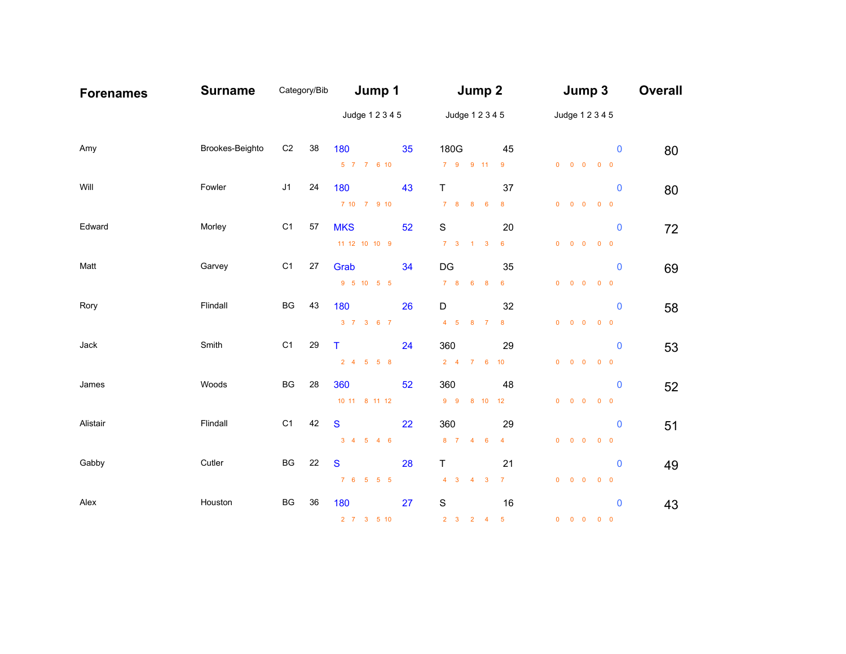| <b>Forenames</b> | <b>Surname</b>  | Category/Bib   |    | Jump 1                              |    | Jump 2                      |                 | Jump 3                                                               | <b>Overall</b> |
|------------------|-----------------|----------------|----|-------------------------------------|----|-----------------------------|-----------------|----------------------------------------------------------------------|----------------|
|                  |                 |                |    | Judge 1 2 3 4 5                     |    | Judge 1 2 3 4 5             |                 | Judge 1 2 3 4 5                                                      |                |
| Amy              | Brookes-Beighto | C <sub>2</sub> | 38 | 180                                 | 35 | 180G                        | 45              | $\mathbf 0$                                                          | 80             |
|                  |                 |                |    | 5 7 7 6 10                          |    | 7 9 9 11                    | 9               | $\begin{array}{ccccccccccccccccc} 0 & 0 & 0 & 0 & 0 & 0 \end{array}$ |                |
| Will             | Fowler          | J1             | 24 | 180                                 | 43 | T.                          | 37              | $\mathbf 0$                                                          | 80             |
|                  |                 |                |    | 7 10 7 9 10                         |    | 7 8 8 6                     | 8               | $0 \t 0 \t 0$<br>$0\quad 0$                                          |                |
| Edward           | Morley          | C <sub>1</sub> | 57 | <b>MKS</b>                          | 52 | $\mathbf S$                 | 20              | $\mathbf 0$                                                          | 72             |
|                  |                 |                |    | 11 12 10 10 9                       |    | $7 \quad 3 \quad 1 \quad 3$ | $6\overline{6}$ | $\begin{matrix} 0 & 0 & 0 & 0 & 0 \end{matrix}$                      |                |
| Matt             | Garvey          | C <sub>1</sub> | 27 | Grab                                | 34 | DG                          | 35              | $\mathbf 0$                                                          | 69             |
|                  |                 |                |    | 9 5 10 5 5                          |    | 7 8 6 8                     | $6\phantom{.}6$ | $\begin{matrix} 0 & 0 & 0 & 0 & 0 \end{matrix}$                      |                |
| Rory             | Flindall        | BG             | 43 | 180                                 | 26 | D                           | 32              | $\mathbf 0$                                                          | 58             |
|                  |                 |                |    | 3 7 3 6 7                           |    | 4 5 8 7                     | 8               | $\begin{matrix} 0 & 0 & 0 & 0 & 0 \end{matrix}$                      |                |
| Jack             | Smith           | C <sub>1</sub> | 29 | $\top$                              | 24 | 360                         | 29              | $\mathbf 0$                                                          |                |
|                  |                 |                |    | 2 4 5 5 8                           |    | 2 4 7 6 10                  |                 | $\begin{matrix} 0 & 0 & 0 & 0 & 0 \end{matrix}$                      | 53             |
|                  |                 |                |    |                                     |    |                             |                 |                                                                      |                |
| James            | Woods           | BG             | 28 | 360<br>10 11 8 11 12                | 52 | 360<br>9 9 8 10 12          | 48              | $\mathbf 0$<br>$0\qquad 0\qquad 0\qquad 0\qquad 0$                   | 52             |
|                  |                 |                |    |                                     |    |                             |                 |                                                                      |                |
| Alistair         | Flindall        | C <sub>1</sub> | 42 | $\mathbf{s}$                        | 22 | 360                         | 29              | $\mathbf 0$                                                          | 51             |
|                  |                 |                |    | $3 \quad 4 \quad 5 \quad 4 \quad 6$ |    | 8 7 4 6                     | $\overline{4}$  | $\begin{matrix} 0 & 0 & 0 & 0 & 0 \end{matrix}$                      |                |
| Gabby            | Cutler          | BG             | 22 | S                                   | 28 | T                           | 21              | $\mathbf 0$                                                          | 49             |
|                  |                 |                |    | 7 6 5 5 5                           |    | $4 \quad 3 \quad 4 \quad 3$ | $\overline{7}$  | $\begin{matrix} 0 & 0 & 0 & 0 & 0 \end{matrix}$                      |                |
| Alex             | Houston         | BG             | 36 | 180                                 | 27 | $\mathbf S$                 | 16              | $\mathbf 0$                                                          | 43             |
|                  |                 |                |    | 2 7 3 5 10                          |    | $2 \quad 3 \quad 2 \quad 4$ | $-5$            | $0 \t 0 \t 0$<br>$0\quad 0$                                          |                |